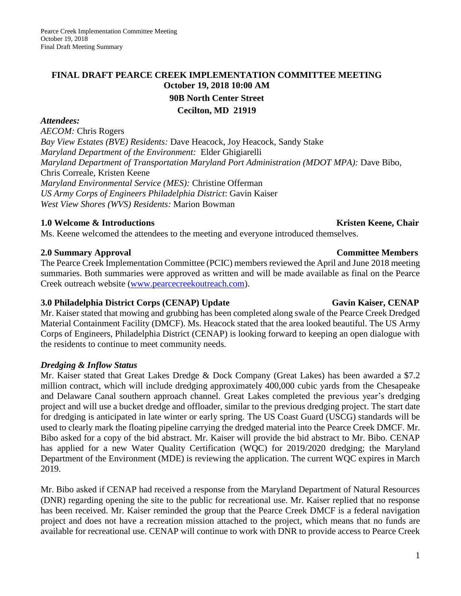# **FINAL DRAFT PEARCE CREEK IMPLEMENTATION COMMITTEE MEETING October 19, 2018 10:00 AM 90B North Center Street Cecilton, MD 21919**

### *Attendees:*

*AECOM:* Chris Rogers *Bay View Estates (BVE) Residents:* Dave Heacock, Joy Heacock, Sandy Stake *Maryland Department of the Environment:* Elder Ghigiarelli *Maryland Department of Transportation Maryland Port Administration (MDOT MPA):* Dave Bibo, Chris Correale, Kristen Keene *Maryland Environmental Service (MES):* Christine Offerman *US Army Corps of Engineers Philadelphia District*: Gavin Kaiser *West View Shores (WVS) Residents:* Marion Bowman

## **1.0** Welcome & Introductions **Kristen Keene, Chair Kristen Keene**, Chair

Ms. Keene welcomed the attendees to the meeting and everyone introduced themselves.

## **2.0 Summary Approval Committee Members**

The Pearce Creek Implementation Committee (PCIC) members reviewed the April and June 2018 meeting summaries. Both summaries were approved as written and will be made available as final on the Pearce Creek outreach website [\(www.pearcecreekoutreach.com\)](http://www.pearcecreekoutreach.com/).

## **3.0** Philadelphia District Corps (CENAP) Update Gavin Kaiser, CENAP

Mr. Kaiser stated that mowing and grubbing has been completed along swale of the Pearce Creek Dredged Material Containment Facility (DMCF). Ms. Heacock stated that the area looked beautiful. The US Army Corps of Engineers, Philadelphia District (CENAP) is looking forward to keeping an open dialogue with the residents to continue to meet community needs.

## *Dredging & Inflow Status*

Mr. Kaiser stated that Great Lakes Dredge & Dock Company (Great Lakes) has been awarded a \$7.2 million contract, which will include dredging approximately 400,000 cubic yards from the Chesapeake and Delaware Canal southern approach channel. Great Lakes completed the previous year's dredging project and will use a bucket dredge and offloader, similar to the previous dredging project. The start date for dredging is anticipated in late winter or early spring. The US Coast Guard (USCG) standards will be used to clearly mark the floating pipeline carrying the dredged material into the Pearce Creek DMCF. Mr. Bibo asked for a copy of the bid abstract. Mr. Kaiser will provide the bid abstract to Mr. Bibo. CENAP has applied for a new Water Quality Certification (WQC) for 2019/2020 dredging; the Maryland Department of the Environment (MDE) is reviewing the application. The current WQC expires in March 2019.

Mr. Bibo asked if CENAP had received a response from the Maryland Department of Natural Resources (DNR) regarding opening the site to the public for recreational use. Mr. Kaiser replied that no response has been received. Mr. Kaiser reminded the group that the Pearce Creek DMCF is a federal navigation project and does not have a recreation mission attached to the project, which means that no funds are available for recreational use. CENAP will continue to work with DNR to provide access to Pearce Creek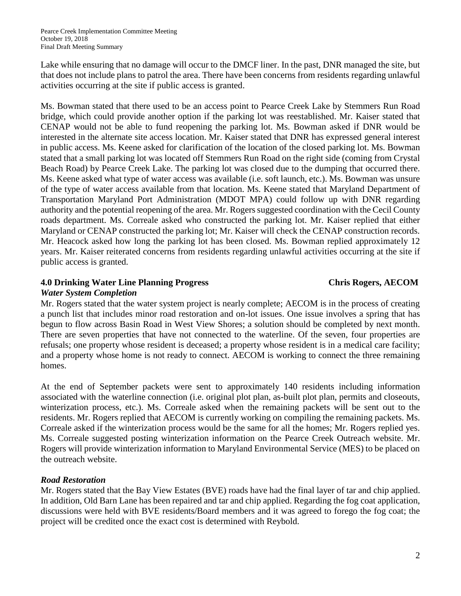Lake while ensuring that no damage will occur to the DMCF liner. In the past, DNR managed the site, but that does not include plans to patrol the area. There have been concerns from residents regarding unlawful activities occurring at the site if public access is granted.

Ms. Bowman stated that there used to be an access point to Pearce Creek Lake by Stemmers Run Road bridge, which could provide another option if the parking lot was reestablished. Mr. Kaiser stated that CENAP would not be able to fund reopening the parking lot. Ms. Bowman asked if DNR would be interested in the alternate site access location. Mr. Kaiser stated that DNR has expressed general interest in public access. Ms. Keene asked for clarification of the location of the closed parking lot. Ms. Bowman stated that a small parking lot was located off Stemmers Run Road on the right side (coming from Crystal Beach Road) by Pearce Creek Lake. The parking lot was closed due to the dumping that occurred there. Ms. Keene asked what type of water access was available (i.e. soft launch, etc.). Ms. Bowman was unsure of the type of water access available from that location. Ms. Keene stated that Maryland Department of Transportation Maryland Port Administration (MDOT MPA) could follow up with DNR regarding authority and the potential reopening of the area. Mr. Rogers suggested coordination with the Cecil County roads department. Ms. Correale asked who constructed the parking lot. Mr. Kaiser replied that either Maryland or CENAP constructed the parking lot; Mr. Kaiser will check the CENAP construction records. Mr. Heacock asked how long the parking lot has been closed. Ms. Bowman replied approximately 12 years. Mr. Kaiser reiterated concerns from residents regarding unlawful activities occurring at the site if public access is granted.

## **4.0 Drinking Water Line Planning Progress Chris Rogers, AECOM**

## *Water System Completion*

Mr. Rogers stated that the water system project is nearly complete; AECOM is in the process of creating a punch list that includes minor road restoration and on-lot issues. One issue involves a spring that has begun to flow across Basin Road in West View Shores; a solution should be completed by next month. There are seven properties that have not connected to the waterline. Of the seven, four properties are refusals; one property whose resident is deceased; a property whose resident is in a medical care facility; and a property whose home is not ready to connect. AECOM is working to connect the three remaining homes.

At the end of September packets were sent to approximately 140 residents including information associated with the waterline connection (i.e. original plot plan, as-built plot plan, permits and closeouts, winterization process, etc.). Ms. Correale asked when the remaining packets will be sent out to the residents. Mr. Rogers replied that AECOM is currently working on compiling the remaining packets. Ms. Correale asked if the winterization process would be the same for all the homes; Mr. Rogers replied yes. Ms. Correale suggested posting winterization information on the Pearce Creek Outreach website. Mr. Rogers will provide winterization information to Maryland Environmental Service (MES) to be placed on the outreach website.

# *Road Restoration*

Mr. Rogers stated that the Bay View Estates (BVE) roads have had the final layer of tar and chip applied. In addition, Old Barn Lane has been repaired and tar and chip applied. Regarding the fog coat application, discussions were held with BVE residents/Board members and it was agreed to forego the fog coat; the project will be credited once the exact cost is determined with Reybold.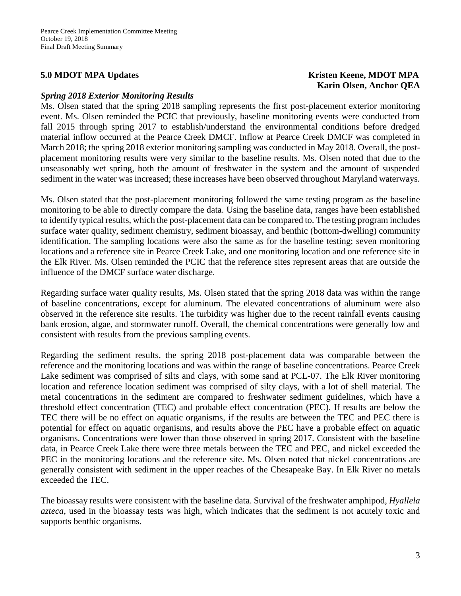### *Spring 2018 Exterior Monitoring Results*

Ms. Olsen stated that the spring 2018 sampling represents the first post-placement exterior monitoring event. Ms. Olsen reminded the PCIC that previously, baseline monitoring events were conducted from fall 2015 through spring 2017 to establish/understand the environmental conditions before dredged material inflow occurred at the Pearce Creek DMCF. Inflow at Pearce Creek DMCF was completed in March 2018; the spring 2018 exterior monitoring sampling was conducted in May 2018. Overall, the postplacement monitoring results were very similar to the baseline results. Ms. Olsen noted that due to the unseasonably wet spring, both the amount of freshwater in the system and the amount of suspended sediment in the water was increased; these increases have been observed throughout Maryland waterways.

Ms. Olsen stated that the post-placement monitoring followed the same testing program as the baseline monitoring to be able to directly compare the data. Using the baseline data, ranges have been established to identify typical results, which the post-placement data can be compared to. The testing program includes surface water quality, sediment chemistry, sediment bioassay, and benthic (bottom-dwelling) community identification. The sampling locations were also the same as for the baseline testing; seven monitoring locations and a reference site in Pearce Creek Lake, and one monitoring location and one reference site in the Elk River. Ms. Olsen reminded the PCIC that the reference sites represent areas that are outside the influence of the DMCF surface water discharge.

Regarding surface water quality results, Ms. Olsen stated that the spring 2018 data was within the range of baseline concentrations, except for aluminum. The elevated concentrations of aluminum were also observed in the reference site results. The turbidity was higher due to the recent rainfall events causing bank erosion, algae, and stormwater runoff. Overall, the chemical concentrations were generally low and consistent with results from the previous sampling events.

Regarding the sediment results, the spring 2018 post-placement data was comparable between the reference and the monitoring locations and was within the range of baseline concentrations. Pearce Creek Lake sediment was comprised of silts and clays, with some sand at PCL-07. The Elk River monitoring location and reference location sediment was comprised of silty clays, with a lot of shell material. The metal concentrations in the sediment are compared to freshwater sediment guidelines, which have a threshold effect concentration (TEC) and probable effect concentration (PEC). If results are below the TEC there will be no effect on aquatic organisms, if the results are between the TEC and PEC there is potential for effect on aquatic organisms, and results above the PEC have a probable effect on aquatic organisms. Concentrations were lower than those observed in spring 2017. Consistent with the baseline data, in Pearce Creek Lake there were three metals between the TEC and PEC, and nickel exceeded the PEC in the monitoring locations and the reference site. Ms. Olsen noted that nickel concentrations are generally consistent with sediment in the upper reaches of the Chesapeake Bay. In Elk River no metals exceeded the TEC.

The bioassay results were consistent with the baseline data. Survival of the freshwater amphipod, *Hyallela azteca*, used in the bioassay tests was high, which indicates that the sediment is not acutely toxic and supports benthic organisms.

## **5.0** MDOT MPA Updates **Kristen Keene, MDOT MPA Karin Olsen, Anchor QEA**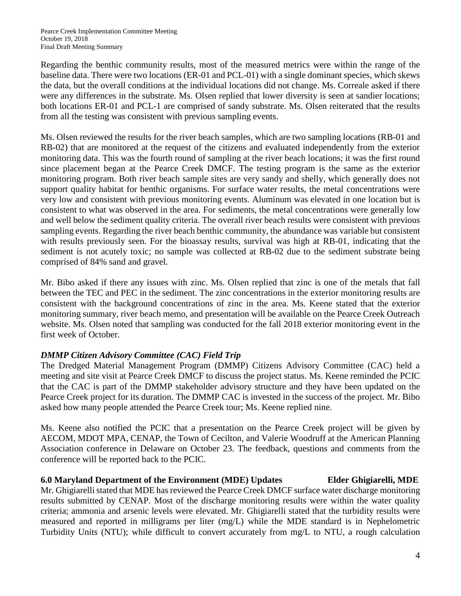Regarding the benthic community results, most of the measured metrics were within the range of the baseline data. There were two locations (ER-01 and PCL-01) with a single dominant species, which skews the data, but the overall conditions at the individual locations did not change. Ms. Correale asked if there were any differences in the substrate. Ms. Olsen replied that lower diversity is seen at sandier locations; both locations ER-01 and PCL-1 are comprised of sandy substrate. Ms. Olsen reiterated that the results from all the testing was consistent with previous sampling events.

Ms. Olsen reviewed the results for the river beach samples, which are two sampling locations (RB-01 and RB-02) that are monitored at the request of the citizens and evaluated independently from the exterior monitoring data. This was the fourth round of sampling at the river beach locations; it was the first round since placement began at the Pearce Creek DMCF. The testing program is the same as the exterior monitoring program. Both river beach sample sites are very sandy and shelly, which generally does not support quality habitat for benthic organisms. For surface water results, the metal concentrations were very low and consistent with previous monitoring events. Aluminum was elevated in one location but is consistent to what was observed in the area. For sediments, the metal concentrations were generally low and well below the sediment quality criteria. The overall river beach results were consistent with previous sampling events. Regarding the river beach benthic community, the abundance was variable but consistent with results previously seen. For the bioassay results, survival was high at RB-01, indicating that the sediment is not acutely toxic; no sample was collected at RB-02 due to the sediment substrate being comprised of 84% sand and gravel.

Mr. Bibo asked if there any issues with zinc. Ms. Olsen replied that zinc is one of the metals that fall between the TEC and PEC in the sediment. The zinc concentrations in the exterior monitoring results are consistent with the background concentrations of zinc in the area. Ms. Keene stated that the exterior monitoring summary, river beach memo, and presentation will be available on the Pearce Creek Outreach website. Ms. Olsen noted that sampling was conducted for the fall 2018 exterior monitoring event in the first week of October.

# *DMMP Citizen Advisory Committee (CAC) Field Trip*

The Dredged Material Management Program (DMMP) Citizens Advisory Committee (CAC) held a meeting and site visit at Pearce Creek DMCF to discuss the project status. Ms. Keene reminded the PCIC that the CAC is part of the DMMP stakeholder advisory structure and they have been updated on the Pearce Creek project for its duration. The DMMP CAC is invested in the success of the project. Mr. Bibo asked how many people attended the Pearce Creek tour; Ms. Keene replied nine.

Ms. Keene also notified the PCIC that a presentation on the Pearce Creek project will be given by AECOM, MDOT MPA, CENAP, the Town of Cecilton, and Valerie Woodruff at the American Planning Association conference in Delaware on October 23. The feedback, questions and comments from the conference will be reported back to the PCIC.

## **6.0 Maryland Department of the Environment (MDE) Updates Elder Ghigiarelli, MDE**

Mr. Ghigiarelli stated that MDE has reviewed the Pearce Creek DMCF surface water discharge monitoring results submitted by CENAP. Most of the discharge monitoring results were within the water quality criteria; ammonia and arsenic levels were elevated. Mr. Ghigiarelli stated that the turbidity results were measured and reported in milligrams per liter (mg/L) while the MDE standard is in Nephelometric Turbidity Units (NTU); while difficult to convert accurately from mg/L to NTU, a rough calculation